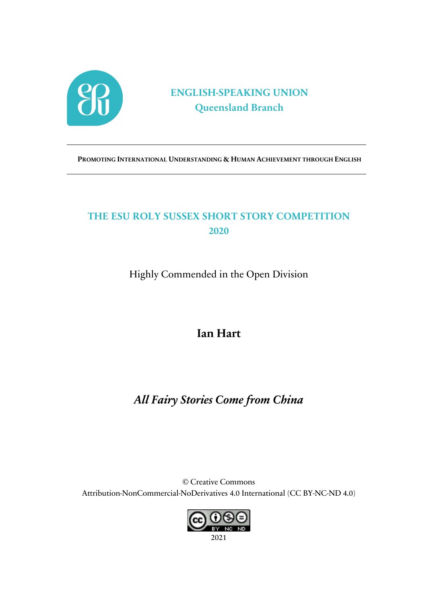

## **ENGLISH-SPEAKING UNION Queensland Branch**

**PROMOTING INTERNATIONAL UNDERSTANDING & HUMAN ACHIEVEMENT THROUGH ENGLISH**

## **THE ESU ROLY SUSSEX SHORT STORY COMPETITION 2020**

Highly Commended in the Open Division

## **Ian Hart**

# *All Fairy Stories Come from China*

© Creative Commons Attribution-NonCommercial-NoDerivatives 4.0 International (CC BY-NC-ND 4.0)

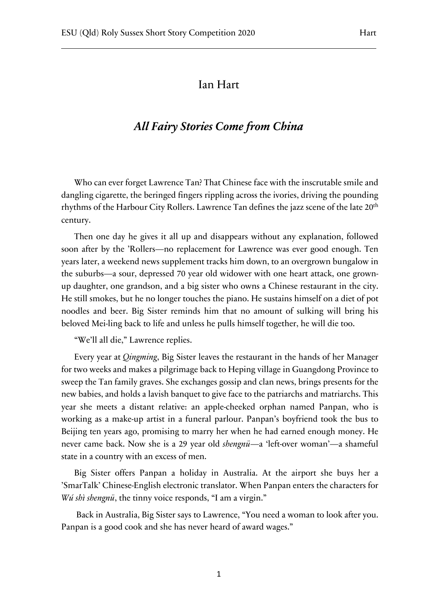#### Ian Hart

### *All Fairy Stories Come from China*

Who can ever forget Lawrence Tan? That Chinese face with the inscrutable smile and dangling cigarette, the beringed fingers rippling across the ivories, driving the pounding rhythms of the Harbour City Rollers. Lawrence Tan defines the jazz scene of the late 20<sup>th</sup> century.

Then one day he gives it all up and disappears without any explanation, followed soon after by the 'Rollers—no replacement for Lawrence was ever good enough. Ten years later, a weekend news supplement tracks him down, to an overgrown bungalow in the suburbs—a sour, depressed 70 year old widower with one heart attack, one grownup daughter, one grandson, and a big sister who owns a Chinese restaurant in the city. He still smokes, but he no longer touches the piano. He sustains himself on a diet of pot noodles and beer. Big Sister reminds him that no amount of sulking will bring his beloved Mei-ling back to life and unless he pulls himself together, he will die too.

"We'll all die," Lawrence replies.

Every year at *Qingming*, Big Sister leaves the restaurant in the hands of her Manager for two weeks and makes a pilgrimage back to Heping village in Guangdong Province to sweep the Tan family graves. She exchanges gossip and clan news, brings presents for the new babies, and holds a lavish banquet to give face to the patriarchs and matriarchs. This year she meets a distant relative: an apple-cheeked orphan named Panpan, who is working as a make-up artist in a funeral parlour. Panpan's boyfriend took the bus to Beijing ten years ago, promising to marry her when he had earned enough money. He never came back. Now she is a 29 year old *shengnü*—a 'left-over woman'—a shameful state in a country with an excess of men.

Big Sister offers Panpan a holiday in Australia. At the airport she buys her a 'SmarTalk' Chinese-English electronic translator. When Panpan enters the characters for *Wú shì shengnü*, the tinny voice responds, "I am a virgin."

Back in Australia, Big Sister says to Lawrence, "You need a woman to look after you. Panpan is a good cook and she has never heard of award wages."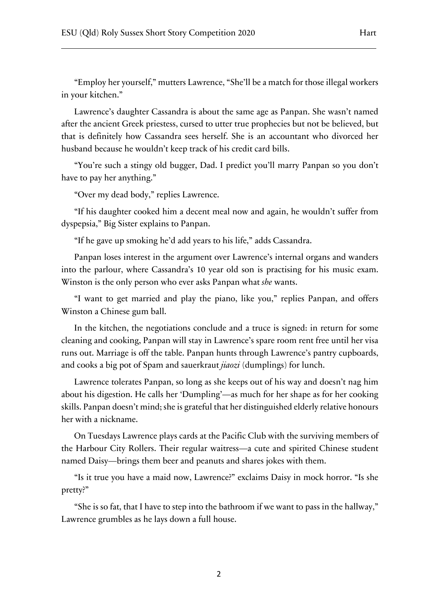"Employ her yourself," mutters Lawrence, "She'll be a match for those illegal workers in your kitchen."

Lawrence's daughter Cassandra is about the same age as Panpan. She wasn't named after the ancient Greek priestess, cursed to utter true prophecies but not be believed, but that is definitely how Cassandra sees herself. She is an accountant who divorced her husband because he wouldn't keep track of his credit card bills.

"You're such a stingy old bugger, Dad. I predict you'll marry Panpan so you don't have to pay her anything."

"Over my dead body," replies Lawrence.

"If his daughter cooked him a decent meal now and again, he wouldn't suffer from dyspepsia," Big Sister explains to Panpan.

"If he gave up smoking he'd add years to his life," adds Cassandra.

Panpan loses interest in the argument over Lawrence's internal organs and wanders into the parlour, where Cassandra's 10 year old son is practising for his music exam. Winston is the only person who ever asks Panpan what *she* wants.

"I want to get married and play the piano, like you," replies Panpan, and offers Winston a Chinese gum ball.

In the kitchen, the negotiations conclude and a truce is signed: in return for some cleaning and cooking, Panpan will stay in Lawrence's spare room rent free until her visa runs out. Marriage is off the table. Panpan hunts through Lawrence's pantry cupboards, and cooks a big pot of Spam and sauerkraut *jiaozi* (dumplings) for lunch.

Lawrence tolerates Panpan, so long as she keeps out of his way and doesn't nag him about his digestion. He calls her 'Dumpling'—as much for her shape as for her cooking skills. Panpan doesn't mind; she is grateful that her distinguished elderly relative honours her with a nickname.

On Tuesdays Lawrence plays cards at the Pacific Club with the surviving members of the Harbour City Rollers. Their regular waitress—a cute and spirited Chinese student named Daisy—brings them beer and peanuts and shares jokes with them.

"Is it true you have a maid now, Lawrence?" exclaims Daisy in mock horror. "Is she pretty?"

"She is so fat, that I have to step into the bathroom if we want to pass in the hallway," Lawrence grumbles as he lays down a full house.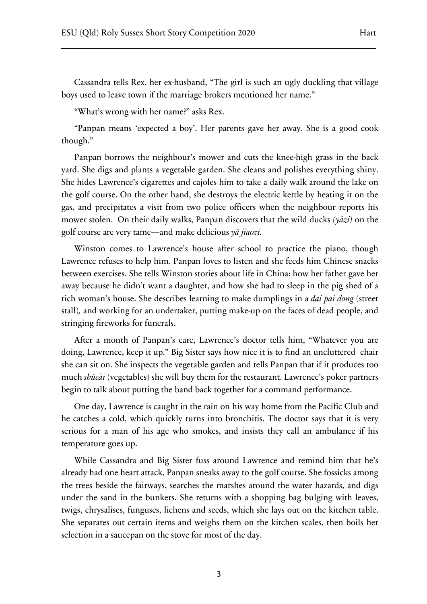Cassandra tells Rex, her ex-husband, "The girl is such an ugly duckling that village boys used to leave town if the marriage brokers mentioned her name."

"What's wrong with her name?" asks Rex.

"Panpan means 'expected a boy'. Her parents gave her away. She is a good cook though."

Panpan borrows the neighbour's mower and cuts the knee-high grass in the back yard. She digs and plants a vegetable garden. She cleans and polishes everything shiny. She hides Lawrence's cigarettes and cajoles him to take a daily walk around the lake on the golf course. On the other hand, she destroys the electric kettle by heating it on the gas, and precipitates a visit from two police officers when the neighbour reports his mower stolen. On their daily walks, Panpan discovers that the wild ducks *(yāzi)* on the golf course are very tame—and make delicious *yā jiaozi.*

Winston comes to Lawrence's house after school to practice the piano, though Lawrence refuses to help him. Panpan loves to listen and she feeds him Chinese snacks between exercises. She tells Winston stories about life in China: how her father gave her away because he didn't want a daughter, and how she had to sleep in the pig shed of a rich woman's house. She describes learning to make dumplings in a *dai pai dong* (street stall)*,* and working for an undertaker, putting make-up on the faces of dead people, and stringing fireworks for funerals.

After a month of Panpan's care, Lawrence's doctor tells him, "Whatever you are doing, Lawrence, keep it up." Big Sister says how nice it is to find an uncluttered chair she can sit on. She inspects the vegetable garden and tells Panpan that if it produces too much *shūcài* (vegetables) she will buy them for the restaurant. Lawrence's poker partners begin to talk about putting the band back together for a command performance.

One day, Lawrence is caught in the rain on his way home from the Pacific Club and he catches a cold, which quickly turns into bronchitis. The doctor says that it is very serious for a man of his age who smokes, and insists they call an ambulance if his temperature goes up.

While Cassandra and Big Sister fuss around Lawrence and remind him that he's already had one heart attack, Panpan sneaks away to the golf course. She fossicks among the trees beside the fairways, searches the marshes around the water hazards, and digs under the sand in the bunkers. She returns with a shopping bag bulging with leaves, twigs, chrysalises, funguses, lichens and seeds, which she lays out on the kitchen table. She separates out certain items and weighs them on the kitchen scales, then boils her selection in a saucepan on the stove for most of the day.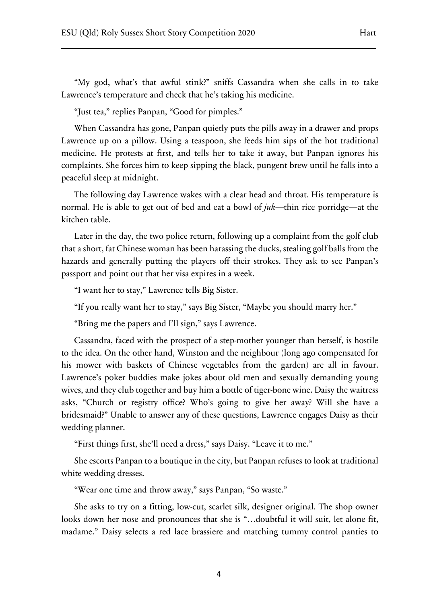"Just tea," replies Panpan, "Good for pimples."

When Cassandra has gone, Panpan quietly puts the pills away in a drawer and props Lawrence up on a pillow. Using a teaspoon, she feeds him sips of the hot traditional medicine. He protests at first, and tells her to take it away, but Panpan ignores his complaints. She forces him to keep sipping the black, pungent brew until he falls into a peaceful sleep at midnight.

The following day Lawrence wakes with a clear head and throat. His temperature is normal. He is able to get out of bed and eat a bowl of *juk*—thin rice porridge—at the kitchen table.

Later in the day, the two police return, following up a complaint from the golf club that a short, fat Chinese woman has been harassing the ducks, stealing golf balls from the hazards and generally putting the players off their strokes. They ask to see Panpan's passport and point out that her visa expires in a week.

"I want her to stay," Lawrence tells Big Sister.

"If you really want her to stay," says Big Sister, "Maybe you should marry her."

"Bring me the papers and I'll sign," says Lawrence.

Cassandra, faced with the prospect of a step-mother younger than herself, is hostile to the idea. On the other hand, Winston and the neighbour (long ago compensated for his mower with baskets of Chinese vegetables from the garden) are all in favour. Lawrence's poker buddies make jokes about old men and sexually demanding young wives, and they club together and buy him a bottle of tiger-bone wine. Daisy the waitress asks, "Church or registry office? Who's going to give her away? Will she have a bridesmaid?" Unable to answer any of these questions, Lawrence engages Daisy as their wedding planner.

"First things first, she'll need a dress," says Daisy. "Leave it to me."

She escorts Panpan to a boutique in the city, but Panpan refuses to look at traditional white wedding dresses.

"Wear one time and throw away," says Panpan, "So waste."

She asks to try on a fitting, low-cut, scarlet silk, designer original. The shop owner looks down her nose and pronounces that she is "…doubtful it will suit, let alone fit, madame." Daisy selects a red lace brassiere and matching tummy control panties to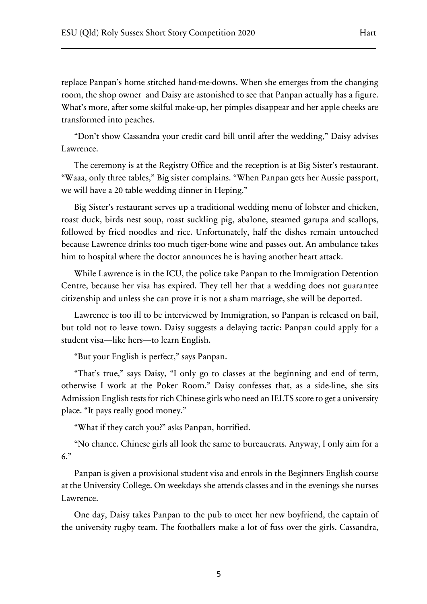replace Panpan's home stitched hand-me-downs. When she emerges from the changing room, the shop owner and Daisy are astonished to see that Panpan actually has a figure. What's more, after some skilful make-up, her pimples disappear and her apple cheeks are transformed into peaches.

"Don't show Cassandra your credit card bill until after the wedding," Daisy advises Lawrence.

The ceremony is at the Registry Office and the reception is at Big Sister's restaurant. "Waaa, only three tables," Big sister complains. "When Panpan gets her Aussie passport, we will have a 20 table wedding dinner in Heping."

Big Sister's restaurant serves up a traditional wedding menu of lobster and chicken, roast duck, birds nest soup, roast suckling pig, abalone, steamed garupa and scallops, followed by fried noodles and rice. Unfortunately, half the dishes remain untouched because Lawrence drinks too much tiger-bone wine and passes out. An ambulance takes him to hospital where the doctor announces he is having another heart attack.

While Lawrence is in the ICU, the police take Panpan to the Immigration Detention Centre, because her visa has expired. They tell her that a wedding does not guarantee citizenship and unless she can prove it is not a sham marriage, she will be deported.

Lawrence is too ill to be interviewed by Immigration, so Panpan is released on bail, but told not to leave town. Daisy suggests a delaying tactic: Panpan could apply for a student visa—like hers—to learn English.

"But your English is perfect," says Panpan.

"That's true," says Daisy, "I only go to classes at the beginning and end of term, otherwise I work at the Poker Room." Daisy confesses that, as a side-line, she sits Admission English tests for rich Chinese girls who need an IELTS score to get a university place. "It pays really good money."

"What if they catch you?" asks Panpan, horrified.

"No chance. Chinese girls all look the same to bureaucrats. Anyway, I only aim for a 6."

Panpan is given a provisional student visa and enrols in the Beginners English course at the University College. On weekdays she attends classes and in the evenings she nurses Lawrence.

One day, Daisy takes Panpan to the pub to meet her new boyfriend, the captain of the university rugby team. The footballers make a lot of fuss over the girls. Cassandra,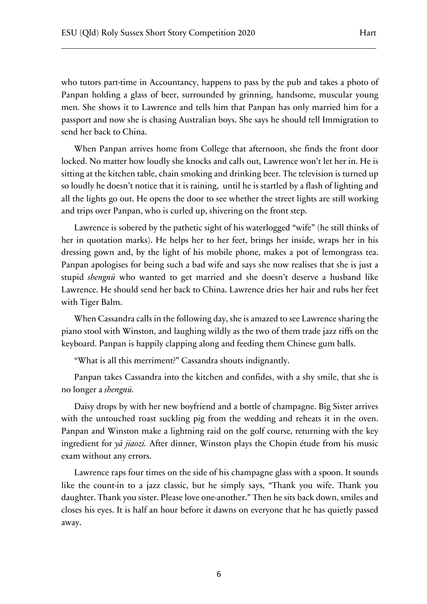who tutors part-time in Accountancy, happens to pass by the pub and takes a photo of Panpan holding a glass of beer, surrounded by grinning, handsome, muscular young men. She shows it to Lawrence and tells him that Panpan has only married him for a passport and now she is chasing Australian boys. She says he should tell Immigration to send her back to China.

When Panpan arrives home from College that afternoon, she finds the front door locked. No matter how loudly she knocks and calls out, Lawrence won't let her in. He is sitting at the kitchen table, chain smoking and drinking beer. The television is turned up so loudly he doesn't notice that it is raining, until he is startled by a flash of lighting and all the lights go out. He opens the door to see whether the street lights are still working and trips over Panpan, who is curled up, shivering on the front step.

Lawrence is sobered by the pathetic sight of his waterlogged "wife" (he still thinks of her in quotation marks). He helps her to her feet, brings her inside, wraps her in his dressing gown and, by the light of his mobile phone, makes a pot of lemongrass tea. Panpan apologises for being such a bad wife and says she now realises that she is just a stupid *shengnü* who wanted to get married and she doesn't deserve a husband like Lawrence. He should send her back to China. Lawrence dries her hair and rubs her feet with Tiger Balm.

When Cassandra calls in the following day, she is amazed to see Lawrence sharing the piano stool with Winston, and laughing wildly as the two of them trade jazz riffs on the keyboard. Panpan is happily clapping along and feeding them Chinese gum balls.

"What is all this merriment?" Cassandra shouts indignantly.

Panpan takes Cassandra into the kitchen and confides, with a shy smile, that she is no longer a *shengnü.* 

Daisy drops by with her new boyfriend and a bottle of champagne. Big Sister arrives with the untouched roast suckling pig from the wedding and reheats it in the oven. Panpan and Winston make a lightning raid on the golf course, returning with the key ingredient for *yā jiaozi.* After dinner, Winston plays the Chopin étude from his music exam without any errors.

Lawrence raps four times on the side of his champagne glass with a spoon. It sounds like the count-in to a jazz classic, but he simply says, "Thank you wife. Thank you daughter. Thank you sister. Please love one-another." Then he sits back down, smiles and closes his eyes. It is half an hour before it dawns on everyone that he has quietly passed away.